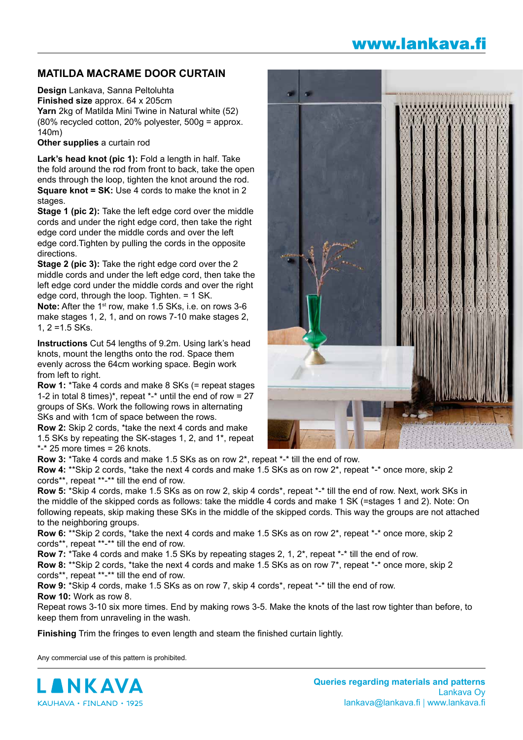## www.lankava.fi

## **MATILDA MACRAME DOOR CURTAIN**

**Design** Lankava, Sanna Peltoluhta **Finished size** approx. 64 x 205cm **Yarn** 2kg of Matilda Mini Twine in Natural white (52) (80% recycled cotton, 20% polyester, 500g = approx. 140m)

**Other supplies** a curtain rod

**Lark's head knot (pic 1):** Fold a length in half. Take the fold around the rod from front to back, take the open ends through the loop, tighten the knot around the rod. **Square knot = SK:** Use 4 cords to make the knot in 2 stages.

**Stage 1 (pic 2):** Take the left edge cord over the middle cords and under the right edge cord, then take the right edge cord under the middle cords and over the left edge cord.Tighten by pulling the cords in the opposite directions.

**Stage 2 (pic 3):** Take the right edge cord over the 2 middle cords and under the left edge cord, then take the left edge cord under the middle cords and over the right edge cord, through the loop. Tighten. = 1 SK.

**Note:** After the 1st row, make 1.5 SKs, i.e. on rows 3-6 make stages 1, 2, 1, and on rows 7-10 make stages 2, 1, 2 =1.5 SKs.

**Instructions** Cut 54 lengths of 9.2m. Using lark's head knots, mount the lengths onto the rod. Space them evenly across the 64cm working space. Begin work from left to right.

**Row 1:** \*Take 4 cords and make 8 SKs (= repeat stages 1-2 in total 8 times)\*, repeat  $*$ -\* until the end of row = 27 groups of SKs. Work the following rows in alternating SKs and with 1cm of space between the rows.

**Row 2:** Skip 2 cords, \*take the next 4 cords and make 1.5 SKs by repeating the SK-stages 1, 2, and 1\*, repeat  $*$ - $*$  25 more times = 26 knots.



**Row 3:** \*Take 4 cords and make 1.5 SKs as on row 2\*, repeat \*-\* till the end of row.

**Row 4:** \*\*Skip 2 cords, \*take the next 4 cords and make 1.5 SKs as on row 2\*, repeat \*-\* once more, skip 2 cords\*\*, repeat \*\*-\*\* till the end of row.

**Row 5:** \*Skip 4 cords, make 1.5 SKs as on row 2, skip 4 cords\*, repeat \*-\* till the end of row. Next, work SKs in the middle of the skipped cords as follows: take the middle 4 cords and make 1 SK (=stages 1 and 2). Note: On following repeats, skip making these SKs in the middle of the skipped cords. This way the groups are not attached to the neighboring groups.

**Row 6:** \*\*Skip 2 cords, \*take the next 4 cords and make 1.5 SKs as on row 2\*, repeat \*-\* once more, skip 2 cords\*\*, repeat \*\*-\*\* till the end of row.

**Row 7:** \*Take 4 cords and make 1.5 SKs by repeating stages 2, 1, 2<sup>\*</sup>, repeat \*-\* till the end of row.

**Row 8:** \*\*Skip 2 cords, \*take the next 4 cords and make 1.5 SKs as on row 7\*, repeat \*-\* once more, skip 2 cords\*\*, repeat \*\*-\*\* till the end of row.

**Row 9:** \*Skip 4 cords, make 1.5 SKs as on row 7, skip 4 cords\*, repeat \*-\* till the end of row. **Row 10:** Work as row 8.

Repeat rows 3-10 six more times. End by making rows 3-5. Make the knots of the last row tighter than before, to keep them from unraveling in the wash.

**Finishing** Trim the fringes to even length and steam the finished curtain lightly.

Any commercial use of this pattern is prohibited.